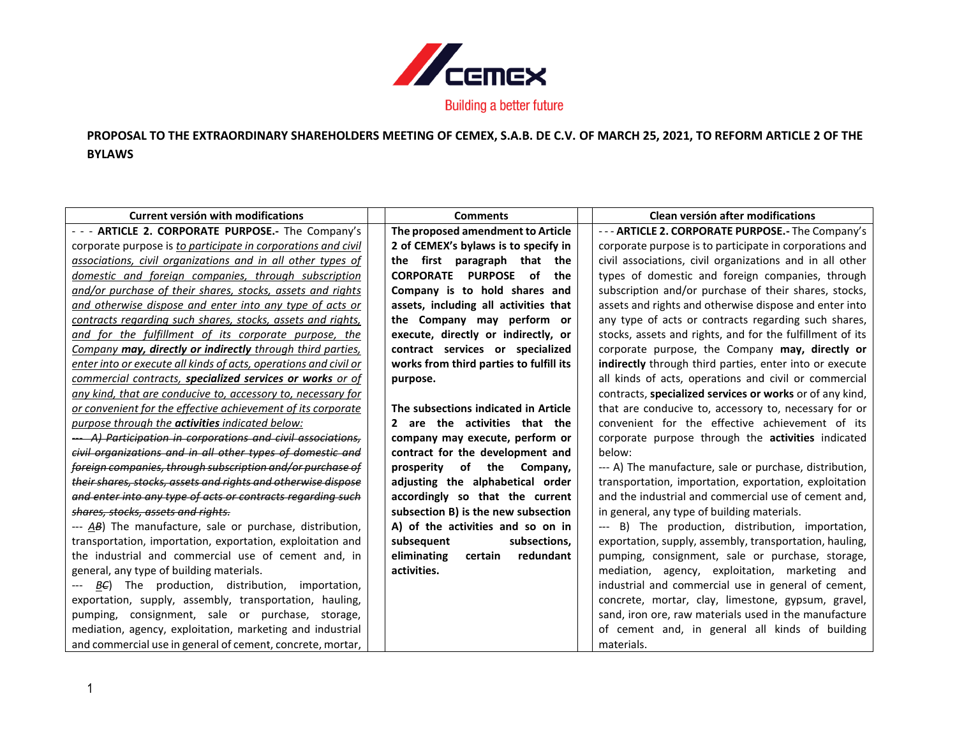

## **PROPOSAL TO THE EXTRAORDINARY SHAREHOLDERS MEETING OF CEMEX, S.A.B. DE C.V. OF MARCH 25, 2021, TO REFORM ARTICLE 2 OF THE BYLAWS**

| <b>Current versión with modifications</b>                        | <b>Comments</b>                         | Clean versión after modifications                         |
|------------------------------------------------------------------|-----------------------------------------|-----------------------------------------------------------|
| - - - ARTICLE 2. CORPORATE PURPOSE.- The Company's               | The proposed amendment to Article       | --- ARTICLE 2. CORPORATE PURPOSE.- The Company's          |
| corporate purpose is to participate in corporations and civil    | 2 of CEMEX's bylaws is to specify in    | corporate purpose is to participate in corporations and   |
| associations, civil organizations and in all other types of      | first paragraph that<br>the<br>the      | civil associations, civil organizations and in all other  |
| domestic and foreign companies, through subscription             | CORPORATE PURPOSE of<br>the             | types of domestic and foreign companies, through          |
| and/or purchase of their shares, stocks, assets and rights       | Company is to hold shares and           | subscription and/or purchase of their shares, stocks,     |
| and otherwise dispose and enter into any type of acts or         | assets, including all activities that   | assets and rights and otherwise dispose and enter into    |
| contracts regarding such shares, stocks, assets and rights,      | the Company may perform or              | any type of acts or contracts regarding such shares,      |
| and for the fulfillment of its corporate purpose, the            | execute, directly or indirectly, or     | stocks, assets and rights, and for the fulfillment of its |
| Company may, directly or indirectly through third parties,       | contract services or specialized        | corporate purpose, the Company may, directly or           |
| enter into or execute all kinds of acts, operations and civil or | works from third parties to fulfill its | indirectly through third parties, enter into or execute   |
| commercial contracts, specialized services or works or of        | purpose.                                | all kinds of acts, operations and civil or commercial     |
| any kind, that are conducive to, accessory to, necessary for     |                                         | contracts, specialized services or works or of any kind,  |
| or convenient for the effective achievement of its corporate     | The subsections indicated in Article    | that are conducive to, accessory to, necessary for or     |
| purpose through the <b>activities</b> indicated below:           | 2 are the activities that the           | convenient for the effective achievement of its           |
| A) Participation in corporations and civil associations,         | company may execute, perform or         | corporate purpose through the <b>activities</b> indicated |
| civil organizations and in all other types of domestic and       | contract for the development and        | below:                                                    |
| foreign companies, through subscription and/or purchase of       | of the Company,<br>prosperity           | --- A) The manufacture, sale or purchase, distribution,   |
| their shares, stocks, assets and rights and otherwise dispose    | adjusting the alphabetical order        | transportation, importation, exportation, exploitation    |
| and enter into any type of acts or contracts regarding such      | accordingly so that the current         | and the industrial and commercial use of cement and,      |
| shares, stocks, assets and rights.                               | subsection B) is the new subsection     | in general, any type of building materials.               |
| --- AB) The manufacture, sale or purchase, distribution,         | A) of the activities and so on in       | --- B) The production, distribution, importation,         |
| transportation, importation, exportation, exploitation and       | subsequent<br>subsections,              | exportation, supply, assembly, transportation, hauling,   |
| the industrial and commercial use of cement and, in              | eliminating<br>certain redundant        | pumping, consignment, sale or purchase, storage,          |
| general, any type of building materials.                         | activities.                             | mediation, agency, exploitation, marketing and            |
| $B\epsilon$ ) The production, distribution, importation,         |                                         | industrial and commercial use in general of cement,       |
| exportation, supply, assembly, transportation, hauling,          |                                         | concrete, mortar, clay, limestone, gypsum, gravel,        |
| pumping, consignment, sale or purchase, storage,                 |                                         | sand, iron ore, raw materials used in the manufacture     |
| mediation, agency, exploitation, marketing and industrial        |                                         | of cement and, in general all kinds of building           |
| and commercial use in general of cement, concrete, mortar,       |                                         | materials.                                                |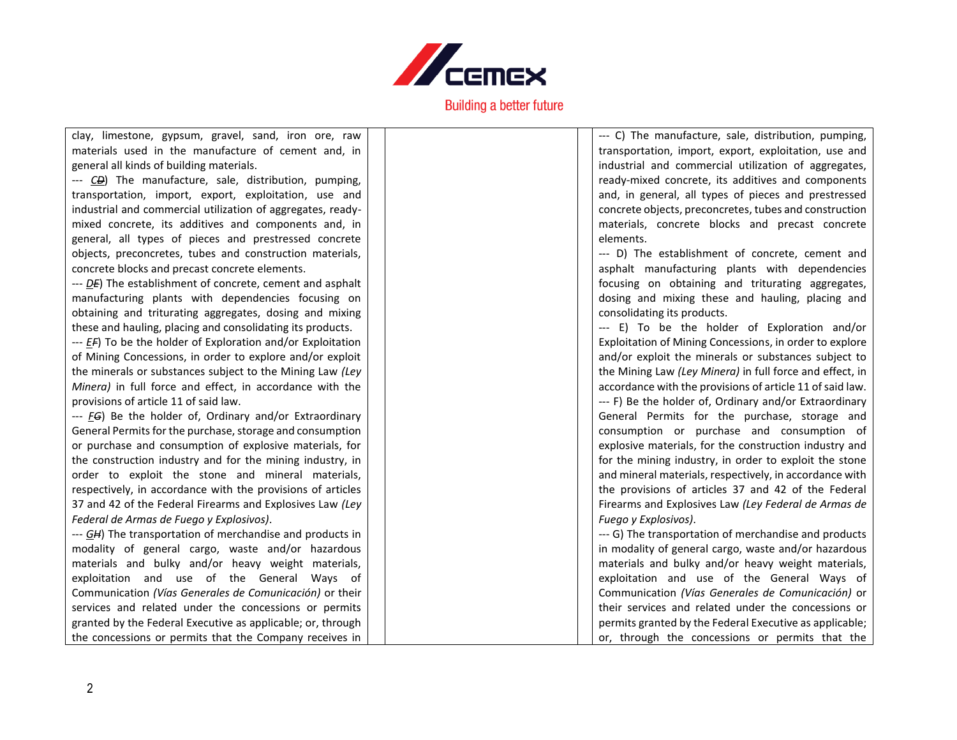

| clay, limestone, gypsum, gravel, sand, iron ore, raw            | --- C) The manufacture, sale, distribution, pumping,      |
|-----------------------------------------------------------------|-----------------------------------------------------------|
| materials used in the manufacture of cement and, in             | transportation, import, export, exploitation, use and     |
| general all kinds of building materials.                        | industrial and commercial utilization of aggregates,      |
| --- CD The manufacture, sale, distribution, pumping,            | ready-mixed concrete, its additives and components        |
| transportation, import, export, exploitation, use and           | and, in general, all types of pieces and prestressed      |
| industrial and commercial utilization of aggregates, ready-     | concrete objects, preconcretes, tubes and construction    |
| mixed concrete, its additives and components and, in            | materials, concrete blocks and precast concrete           |
| general, all types of pieces and prestressed concrete           | elements.                                                 |
| objects, preconcretes, tubes and construction materials,        | --- D) The establishment of concrete, cement and          |
| concrete blocks and precast concrete elements.                  | asphalt manufacturing plants with dependencies            |
| --- DE) The establishment of concrete, cement and asphalt       | focusing on obtaining and triturating aggregates,         |
| manufacturing plants with dependencies focusing on              | dosing and mixing these and hauling, placing and          |
| obtaining and triturating aggregates, dosing and mixing         | consolidating its products.                               |
| these and hauling, placing and consolidating its products.      | --- E) To be the holder of Exploration and/or             |
| --- EF) To be the holder of Exploration and/or Exploitation     | Exploitation of Mining Concessions, in order to explore   |
| of Mining Concessions, in order to explore and/or exploit       | and/or exploit the minerals or substances subject to      |
| the minerals or substances subject to the Mining Law (Ley       | the Mining Law (Ley Minera) in full force and effect, in  |
| Minera) in full force and effect, in accordance with the        | accordance with the provisions of article 11 of said law. |
| provisions of article 11 of said law.                           | --- F) Be the holder of, Ordinary and/or Extraordinary    |
| --- <i>FG</i> ) Be the holder of, Ordinary and/or Extraordinary | General Permits for the purchase, storage and             |
| General Permits for the purchase, storage and consumption       | consumption or purchase and consumption of                |
| or purchase and consumption of explosive materials, for         | explosive materials, for the construction industry and    |
| the construction industry and for the mining industry, in       | for the mining industry, in order to exploit the stone    |
| order to exploit the stone and mineral materials,               | and mineral materials, respectively, in accordance with   |
| respectively, in accordance with the provisions of articles     | the provisions of articles 37 and 42 of the Federal       |
| 37 and 42 of the Federal Firearms and Explosives Law (Ley       | Firearms and Explosives Law (Ley Federal de Armas de      |
| Federal de Armas de Fuego y Explosivos).                        | Fuego y Explosivos).                                      |
| --- GH) The transportation of merchandise and products in       | --- G) The transportation of merchandise and products     |
| modality of general cargo, waste and/or hazardous               | in modality of general cargo, waste and/or hazardous      |
| materials and bulky and/or heavy weight materials,              | materials and bulky and/or heavy weight materials,        |
| exploitation and use of the General Ways of                     | exploitation and use of the General Ways of               |
| Communication (Vías Generales de Comunicación) or their         | Communication (Vías Generales de Comunicación) or         |
| services and related under the concessions or permits           | their services and related under the concessions or       |
| granted by the Federal Executive as applicable; or, through     | permits granted by the Federal Executive as applicable;   |
| the concessions or permits that the Company receives in         | or, through the concessions or permits that the           |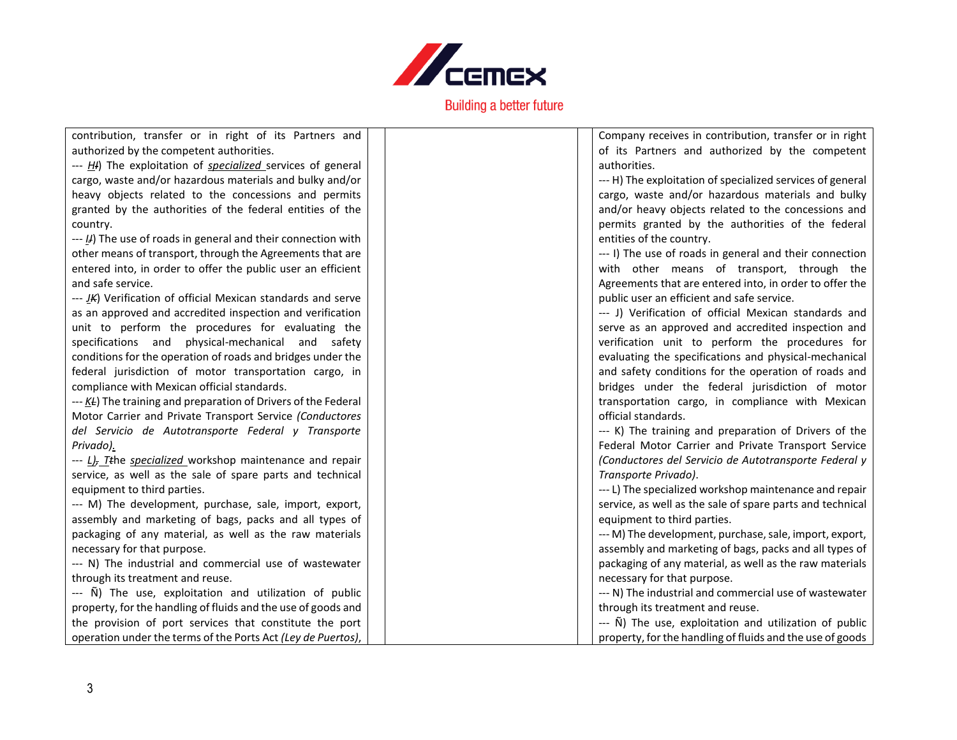

| contribution, transfer or in right of its Partners and                                              |  | Company receives in contribution, transfer or in right     |
|-----------------------------------------------------------------------------------------------------|--|------------------------------------------------------------|
| authorized by the competent authorities.                                                            |  | of its Partners and authorized by the competent            |
| --- HI) The exploitation of <i>specialized</i> services of general                                  |  | authorities.                                               |
| cargo, waste and/or hazardous materials and bulky and/or                                            |  | --- H) The exploitation of specialized services of general |
| heavy objects related to the concessions and permits                                                |  | cargo, waste and/or hazardous materials and bulky          |
| granted by the authorities of the federal entities of the                                           |  | and/or heavy objects related to the concessions and        |
| country.                                                                                            |  | permits granted by the authorities of the federal          |
| $\leftarrow$ $\left\langle \mu \right\rangle$ The use of roads in general and their connection with |  | entities of the country.                                   |
| other means of transport, through the Agreements that are                                           |  | --- I) The use of roads in general and their connection    |
| entered into, in order to offer the public user an efficient                                        |  | with other means of transport, through the                 |
| and safe service.                                                                                   |  | Agreements that are entered into, in order to offer the    |
| --- JK) Verification of official Mexican standards and serve                                        |  | public user an efficient and safe service.                 |
| as an approved and accredited inspection and verification                                           |  | --- J) Verification of official Mexican standards and      |
| unit to perform the procedures for evaluating the                                                   |  | serve as an approved and accredited inspection and         |
| specifications and physical-mechanical and safety                                                   |  | verification unit to perform the procedures for            |
| conditions for the operation of roads and bridges under the                                         |  | evaluating the specifications and physical-mechanical      |
| federal jurisdiction of motor transportation cargo, in                                              |  | and safety conditions for the operation of roads and       |
| compliance with Mexican official standards.                                                         |  | bridges under the federal jurisdiction of motor            |
| $-$ - $K$ $E$ ) The training and preparation of Drivers of the Federal                              |  | transportation cargo, in compliance with Mexican           |
| Motor Carrier and Private Transport Service (Conductores                                            |  | official standards.                                        |
| del Servicio de Autotransporte Federal y Transporte                                                 |  | --- K) The training and preparation of Drivers of the      |
| Privado).                                                                                           |  | Federal Motor Carrier and Private Transport Service        |
| --- L), Tthe specialized workshop maintenance and repair                                            |  | (Conductores del Servicio de Autotransporte Federal y      |
| service, as well as the sale of spare parts and technical                                           |  | Transporte Privado).                                       |
| equipment to third parties.                                                                         |  | --- L) The specialized workshop maintenance and repair     |
| --- M) The development, purchase, sale, import, export,                                             |  | service, as well as the sale of spare parts and technical  |
| assembly and marketing of bags, packs and all types of                                              |  | equipment to third parties.                                |
| packaging of any material, as well as the raw materials                                             |  | --- M) The development, purchase, sale, import, export,    |
| necessary for that purpose.                                                                         |  | assembly and marketing of bags, packs and all types of     |
| --- N) The industrial and commercial use of wastewater                                              |  | packaging of any material, as well as the raw materials    |
| through its treatment and reuse.                                                                    |  | necessary for that purpose.                                |
| --- N The use, exploitation and utilization of public                                               |  | --- N) The industrial and commercial use of wastewater     |
| property, for the handling of fluids and the use of goods and                                       |  | through its treatment and reuse.                           |
| the provision of port services that constitute the port                                             |  | --- N The use, exploitation and utilization of public      |
| operation under the terms of the Ports Act (Ley de Puertos),                                        |  | property, for the handling of fluids and the use of goods  |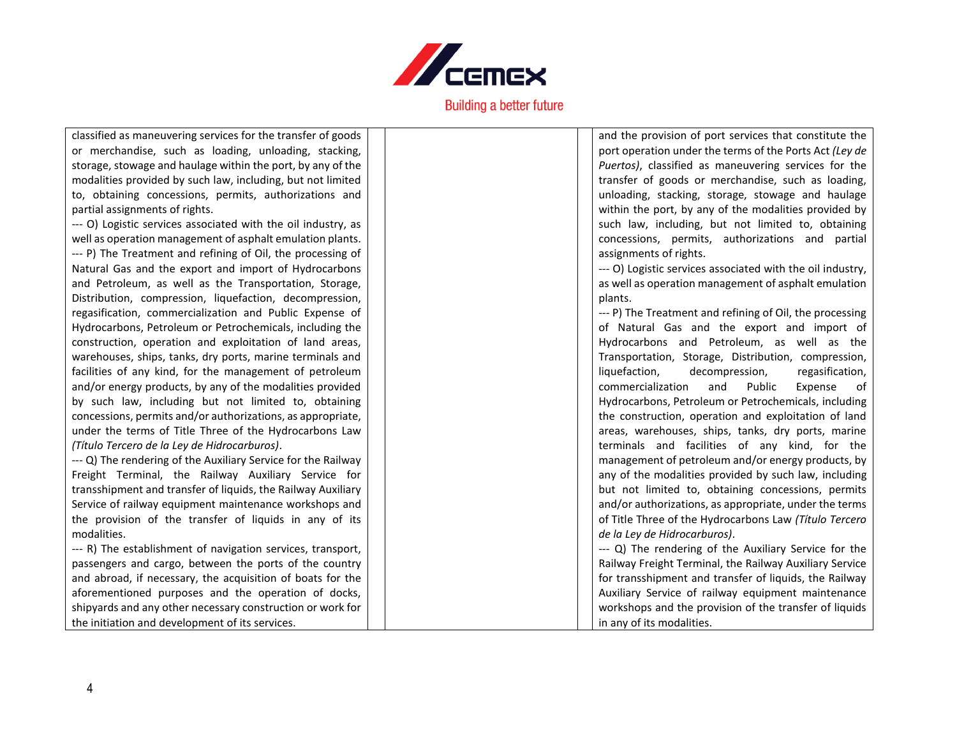

classified as maneuvering services for the transfer of goods or merchandise, such as loading, unloading, stacking, storage, stowage and haulage within the port, by any of the modalities provided by such law, including, but not limited to, obtaining concessions, permits, authorizations and partial assignments of rights. --- O) Logistic services associated with the oil industry, as well as operation management of asphalt emulation plants. --- P) The Treatment and refining of Oil, the processing of Natural Gas and the export and import of Hydrocarbons and Petroleum, as well as the Transportation, Storage, Distribution, compression, liquefaction, decompression, regasification, commercialization and Public Expense of Hydrocarbons, Petroleum or Petrochemicals, including the construction, operation and exploitation of land areas, warehouses, ships, tanks, dry ports, marine terminals and facilities of any kind, for the management of petroleum and/or energy products, by any of the modalities provided by such law, including but not limited to, obtaining concessions, permits and/or authorizations, as appropriate,

under the terms of Title Three of the Hydrocarbons Law *(Título Tercero de la Ley de Hidrocarburos)*.

--- Q) The rendering of the Auxiliary Service for the Railway Freight Terminal, the Railway Auxiliary Service for transshipment and transfer of liquids, the Railway Auxiliary Service of railway equipment maintenance workshops and the provision of the transfer of liquids in any of its modalities.

--- R) The establishment of navigation services, transport, passengers and cargo, between the ports of the country and abroad, if necessary, the acquisition of boats for the aforementioned purposes and the operation of docks, shipyards and any other necessary construction or work for the initiation and development of its services.

and the provision of port services that constitute the port operation under the terms of the Ports Act *(Ley de Puertos)*, classified as maneuvering services for the transfer of goods or merchandise, such as loading, unloading, stacking, storage, stowage and haulage within the port, by any of the modalities provided by such law, including, but not limited to, obtaining concessions, permits, authorizations and partial assignments of rights.

--- O) Logistic services associated with the oil industry, as well as operation management of asphalt emulation plants.

--- P) The Treatment and refining of Oil, the processing of Natural Gas and the export and import of Hydrocarbons and Petroleum, as well as the Transportation, Storage, Distribution, compression, liquefaction, decompression, regasification, commercialization and Public Expense of Hydrocarbons, Petroleum or Petrochemicals, including the construction, operation and exploitation of land areas, warehouses, ships, tanks, dry ports, marine terminals and facilities of any kind, for the management of petroleum and/or energy products, by any of the modalities provided by such law, including but not limited to, obtaining concessions, permits and/or authorizations, as appropriate, under the terms of Title Three of the Hydrocarbons Law *(Título Tercero de la Ley de Hidrocarburos)*. --- Q) The rendering of the Auxiliary Service for the

Railway Freight Terminal, the Railway Auxiliary Service for transshipment and transfer of liquids, the Railway Auxiliary Service of railway equipment maintenance workshops and the provision of the transfer of liquids in any of its modalities.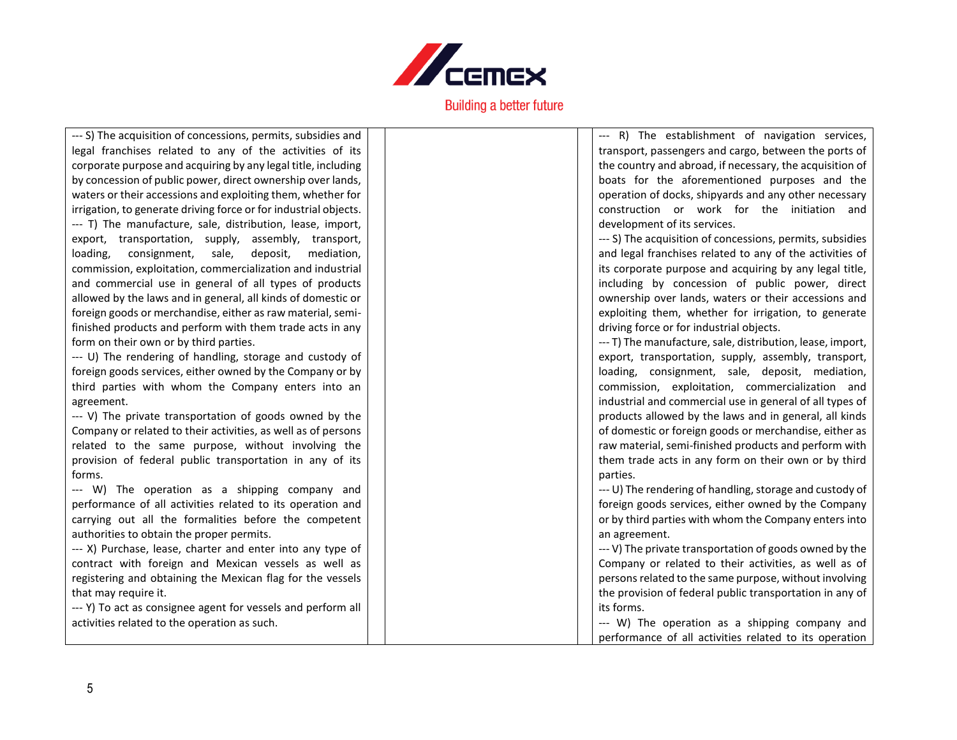

| --- S) The acquisition of concessions, permits, subsidies and    |  |  |
|------------------------------------------------------------------|--|--|
| legal franchises related to any of the activities of its         |  |  |
| corporate purpose and acquiring by any legal title, including    |  |  |
| by concession of public power, direct ownership over lands,      |  |  |
| waters or their accessions and exploiting them, whether for      |  |  |
| irrigation, to generate driving force or for industrial objects. |  |  |
| --- T) The manufacture, sale, distribution, lease, import,       |  |  |
| export, transportation, supply, assembly, transport,             |  |  |
| loading, consignment, sale, deposit, mediation,                  |  |  |
| commission, exploitation, commercialization and industrial       |  |  |
| and commercial use in general of all types of products           |  |  |
| allowed by the laws and in general, all kinds of domestic or     |  |  |
| foreign goods or merchandise, either as raw material, semi-      |  |  |
| finished products and perform with them trade acts in any        |  |  |
| form on their own or by third parties.                           |  |  |
| --- U) The rendering of handling, storage and custody of         |  |  |
| foreign goods services, either owned by the Company or by        |  |  |
| third parties with whom the Company enters into an               |  |  |

--- R) The establishment of navigation services, transport, passengers and cargo, between the ports of the country and abroad, if necessary, the acquisition of boats for the aforementioned purposes and the operation of docks, shipyards and any other necessary construction or work for the initiation and development of its services.

--- S) The acquisition of concessions, permits, subsidies and legal franchises related to any of the activities of its corporate purpose and acquiring by any legal title, including by concession of public power, direct ownership over lands, waters or their accessions and exploiting them, whether for irrigation, to generate driving force or for industrial objects.

--- T) The manufacture, sale, distribution, lease, import, export, transportation, supply, assembly, transport, loading, consignment, sale, deposit, mediation, commission, exploitation, commercialization and industrial and commercial use in general of all types of products allowed by the laws and in general, all kinds of domestic or foreign goods or merchandise, either as raw material, semi-finished products and perform with them trade acts in any form on their own or by third parties.

--- U) The rendering of handling, storage and custody of foreign goods services, either owned by the Company or by third parties with whom the Company enters into an agreement.

--- V) The private transportation of goods owned by the Company or related to their activities, as well as of persons related to the same purpose, without involving the provision of federal public transportation in any of its forms.

--- W) The operation as a shipping company and performance of all activities related to its operation

## --- V) The private transportation of goods owned by the Company or related to their activities, as well as of persons related to the same purpose, without involving the provision of federal public transportation in any of its forms. --- W) The operation as a shipping company and

performance of all activities related to its operation and carrying out all the formalities before the competent authorities to obtain the proper permits.

--- X) Purchase, lease, charter and enter into any type of contract with foreign and Mexican vessels as well as registering and obtaining the Mexican flag for the vessels that may require it.

--- Y) To act as consignee agent for vessels and perform all activities related to the operation as such.

agreement.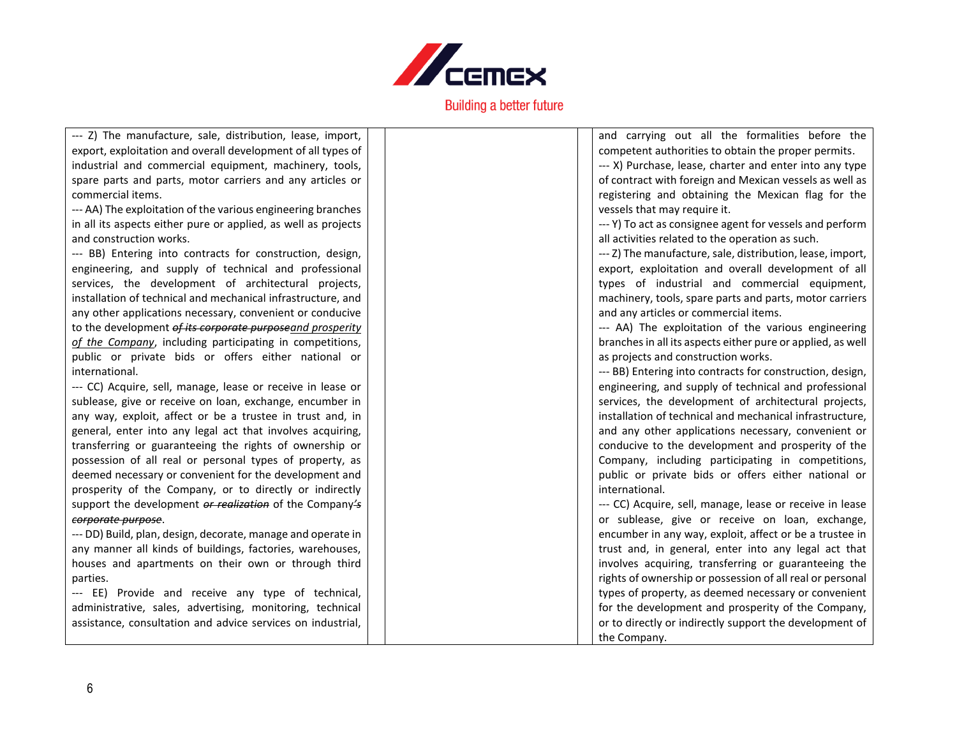

| --- Z) The manufacture, sale, distribution, lease, import,     | and carrying out all the formalities before the             |
|----------------------------------------------------------------|-------------------------------------------------------------|
| export, exploitation and overall development of all types of   | competent authorities to obtain the proper permits.         |
| industrial and commercial equipment, machinery, tools,         | --- X) Purchase, lease, charter and enter into any type     |
| spare parts and parts, motor carriers and any articles or      | of contract with foreign and Mexican vessels as well as     |
| commercial items.                                              | registering and obtaining the Mexican flag for the          |
| --- AA) The exploitation of the various engineering branches   | vessels that may require it.                                |
| in all its aspects either pure or applied, as well as projects | --- Y) To act as consignee agent for vessels and perform    |
| and construction works.                                        | all activities related to the operation as such.            |
| --- BB) Entering into contracts for construction, design,      | --- Z) The manufacture, sale, distribution, lease, import,  |
| engineering, and supply of technical and professional          | export, exploitation and overall development of all         |
| services, the development of architectural projects,           | types of industrial and commercial equipment,               |
| installation of technical and mechanical infrastructure, and   | machinery, tools, spare parts and parts, motor carriers     |
| any other applications necessary, convenient or conducive      | and any articles or commercial items.                       |
| to the development of its corporate purposeand prosperity      | --- AA) The exploitation of the various engineering         |
| of the Company, including participating in competitions,       | branches in all its aspects either pure or applied, as well |
| public or private bids or offers either national or            | as projects and construction works.                         |
| international.                                                 | --- BB) Entering into contracts for construction, design,   |
| --- CC) Acquire, sell, manage, lease or receive in lease or    | engineering, and supply of technical and professional       |
| sublease, give or receive on loan, exchange, encumber in       | services, the development of architectural projects,        |
| any way, exploit, affect or be a trustee in trust and, in      | installation of technical and mechanical infrastructure,    |
| general, enter into any legal act that involves acquiring,     | and any other applications necessary, convenient or         |
| transferring or guaranteeing the rights of ownership or        | conducive to the development and prosperity of the          |
| possession of all real or personal types of property, as       | Company, including participating in competitions,           |
| deemed necessary or convenient for the development and         | public or private bids or offers either national or         |
| prosperity of the Company, or to directly or indirectly        | international.                                              |
| support the development or realization of the Company's        | --- CC) Acquire, sell, manage, lease or receive in lease    |
| corporate purpose.                                             | or sublease, give or receive on loan, exchange,             |
| --- DD) Build, plan, design, decorate, manage and operate in   | encumber in any way, exploit, affect or be a trustee in     |
| any manner all kinds of buildings, factories, warehouses,      | trust and, in general, enter into any legal act that        |
| houses and apartments on their own or through third            | involves acquiring, transferring or guaranteeing the        |
| parties.                                                       | rights of ownership or possession of all real or personal   |
| --- EE) Provide and receive any type of technical,             | types of property, as deemed necessary or convenient        |
| administrative, sales, advertising, monitoring, technical      | for the development and prosperity of the Company,          |
| assistance, consultation and advice services on industrial,    | or to directly or indirectly support the development of     |
|                                                                | the Company.                                                |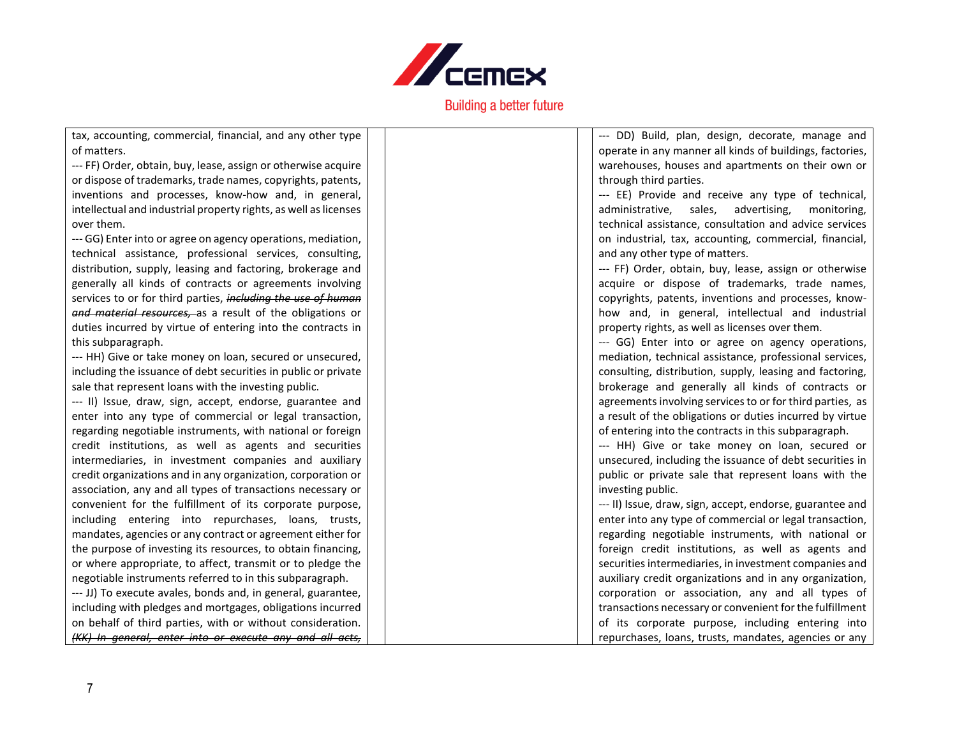

T

| tax, accounting, commercial, financial, and any other type       | --- DD) Build, plan, design, decorate, manage and         |
|------------------------------------------------------------------|-----------------------------------------------------------|
| of matters.                                                      | operate in any manner all kinds of buildings, factories,  |
| --- FF) Order, obtain, buy, lease, assign or otherwise acquire   | warehouses, houses and apartments on their own or         |
| or dispose of trademarks, trade names, copyrights, patents,      | through third parties.                                    |
| inventions and processes, know-how and, in general,              | --- EE) Provide and receive any type of technical,        |
| intellectual and industrial property rights, as well as licenses | sales,<br>advertising,<br>administrative,<br>monitoring,  |
| over them.                                                       | technical assistance, consultation and advice services    |
| --- GG) Enter into or agree on agency operations, mediation,     | on industrial, tax, accounting, commercial, financial,    |
| technical assistance, professional services, consulting,         | and any other type of matters.                            |
| distribution, supply, leasing and factoring, brokerage and       | --- FF) Order, obtain, buy, lease, assign or otherwise    |
| generally all kinds of contracts or agreements involving         | acquire or dispose of trademarks, trade names,            |
| services to or for third parties, including the use of human     | copyrights, patents, inventions and processes, know-      |
| and material resources, as a result of the obligations or        | how and, in general, intellectual and industrial          |
| duties incurred by virtue of entering into the contracts in      | property rights, as well as licenses over them.           |
| this subparagraph.                                               | --- GG) Enter into or agree on agency operations,         |
| --- HH) Give or take money on loan, secured or unsecured,        | mediation, technical assistance, professional services,   |
| including the issuance of debt securities in public or private   | consulting, distribution, supply, leasing and factoring,  |
| sale that represent loans with the investing public.             | brokerage and generally all kinds of contracts or         |
| --- II) Issue, draw, sign, accept, endorse, guarantee and        | agreements involving services to or for third parties, as |
| enter into any type of commercial or legal transaction,          | a result of the obligations or duties incurred by virtue  |
| regarding negotiable instruments, with national or foreign       | of entering into the contracts in this subparagraph.      |
| credit institutions, as well as agents and securities            | --- HH) Give or take money on loan, secured or            |
| intermediaries, in investment companies and auxiliary            | unsecured, including the issuance of debt securities in   |
| credit organizations and in any organization, corporation or     | public or private sale that represent loans with the      |
| association, any and all types of transactions necessary or      | investing public.                                         |
| convenient for the fulfillment of its corporate purpose,         | --- II) Issue, draw, sign, accept, endorse, guarantee and |
| including entering into repurchases, loans, trusts,              | enter into any type of commercial or legal transaction,   |
| mandates, agencies or any contract or agreement either for       | regarding negotiable instruments, with national or        |
| the purpose of investing its resources, to obtain financing,     | foreign credit institutions, as well as agents and        |
| or where appropriate, to affect, transmit or to pledge the       | securities intermediaries, in investment companies and    |
| negotiable instruments referred to in this subparagraph.         | auxiliary credit organizations and in any organization,   |
| --- JJ) To execute avales, bonds and, in general, guarantee,     | corporation or association, any and all types of          |
| including with pledges and mortgages, obligations incurred       | transactions necessary or convenient for the fulfillment  |
| on behalf of third parties, with or without consideration.       | of its corporate purpose, including entering into         |
| (KK) In general, enter into or execute any and all acts,         | repurchases, loans, trusts, mandates, agencies or any     |